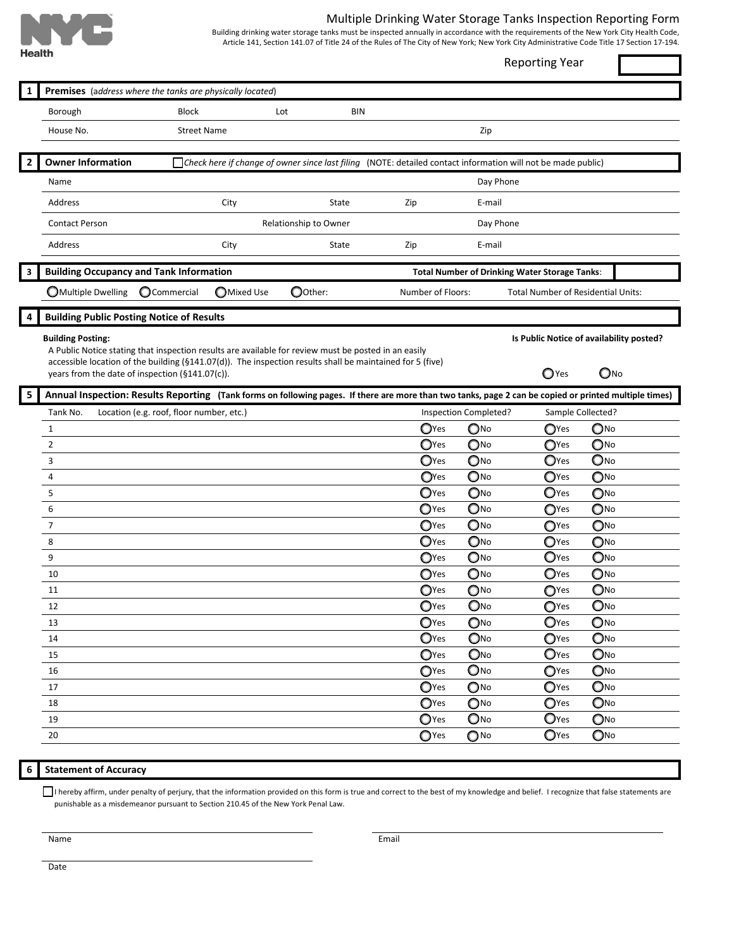

## Multiple Drinking Water Storage Tanks Inspection Reporting Form

Building drinking water storage tanks must be inspected annually in accordance with the requirements of the New York City Health Code, Article 141, Section 141.07 of Title 24 of the Rules of The City of New York; New York City Administrative Code Title 17 Section 17-194.

| י וטמונו ו     |                                                                                                                                                                                                                                                                      |                                             |      |            |                                                                                                              |                            | <b>Reporting Year</b>                     |                            |  |
|----------------|----------------------------------------------------------------------------------------------------------------------------------------------------------------------------------------------------------------------------------------------------------------------|---------------------------------------------|------|------------|--------------------------------------------------------------------------------------------------------------|----------------------------|-------------------------------------------|----------------------------|--|
| 1              | Premises (address where the tanks are physically located)                                                                                                                                                                                                            |                                             |      |            |                                                                                                              |                            |                                           |                            |  |
|                | Borough                                                                                                                                                                                                                                                              | <b>Block</b>                                |      | Lot<br>BIN |                                                                                                              |                            |                                           |                            |  |
|                | House No.                                                                                                                                                                                                                                                            | <b>Street Name</b>                          |      |            |                                                                                                              | Zip                        |                                           |                            |  |
|                |                                                                                                                                                                                                                                                                      |                                             |      |            |                                                                                                              |                            |                                           |                            |  |
| $\overline{2}$ | <b>Owner Information</b>                                                                                                                                                                                                                                             |                                             |      |            | Check here if change of owner since last filing (NOTE: detailed contact information will not be made public) |                            |                                           |                            |  |
|                | Name                                                                                                                                                                                                                                                                 |                                             |      |            |                                                                                                              | Day Phone                  |                                           |                            |  |
|                | Address                                                                                                                                                                                                                                                              |                                             | City | State      | Zip                                                                                                          | E-mail                     |                                           |                            |  |
|                | <b>Contact Person</b>                                                                                                                                                                                                                                                | Relationship to Owner                       |      | Day Phone  |                                                                                                              |                            |                                           |                            |  |
|                | Address                                                                                                                                                                                                                                                              |                                             | City | State      | Zip                                                                                                          | E-mail                     |                                           |                            |  |
| 3              | <b>Building Occupancy and Tank Information</b><br><b>Total Number of Drinking Water Storage Tanks:</b>                                                                                                                                                               |                                             |      |            |                                                                                                              |                            |                                           |                            |  |
|                | <b>OMultiple Dwelling</b>                                                                                                                                                                                                                                            | Oother:<br>OCommercial<br><b>OMixed Use</b> |      |            |                                                                                                              | Number of Floors:          | <b>Total Number of Residential Units:</b> |                            |  |
| 4              | <b>Building Public Posting Notice of Results</b>                                                                                                                                                                                                                     |                                             |      |            |                                                                                                              |                            |                                           |                            |  |
|                | <b>Building Posting:</b>                                                                                                                                                                                                                                             |                                             |      |            |                                                                                                              |                            | Is Public Notice of availability posted?  |                            |  |
|                | A Public Notice stating that inspection results are available for review must be posted in an easily<br>accessible location of the building (§141.07(d)). The inspection results shall be maintained for 5 (five)<br>years from the date of inspection (§141.07(c)). |                                             |      |            |                                                                                                              |                            | $\bigcirc$ Yes                            | $\mathbb{O}^{N0}$          |  |
| 5              | Annual Inspection: Results Reporting (Tank forms on following pages. If there are more than two tanks, page 2 can be copied or printed multiple times)                                                                                                               |                                             |      |            |                                                                                                              |                            |                                           |                            |  |
|                | Tank No.                                                                                                                                                                                                                                                             | Location (e.g. roof, floor number, etc.)    |      |            |                                                                                                              | Inspection Completed?      | Sample Collected?                         |                            |  |
|                | $\mathbf{1}$                                                                                                                                                                                                                                                         |                                             |      |            | $Q$ Yes                                                                                                      | $\mathbf{O}^{\text{No}}$   | OYes                                      | $\mathbb{O}^{\mathsf{No}}$ |  |
|                | $\overline{2}$                                                                                                                                                                                                                                                       |                                             |      |            | OYes                                                                                                         | ONO                        | OYes                                      | ONO                        |  |
|                | 3                                                                                                                                                                                                                                                                    |                                             |      |            | OYes                                                                                                         | $\mathbb{O}^{\mathsf{No}}$ | $\mathbf{O}$ Yes                          | ONO                        |  |
|                | 4                                                                                                                                                                                                                                                                    |                                             |      |            | OYes                                                                                                         | ONO                        | $\mathbf{O}$ Yes                          | ONO                        |  |
|                | 5                                                                                                                                                                                                                                                                    |                                             |      |            | OYes                                                                                                         | $\mathbb{O}^{\mathsf{No}}$ | $\mathbf{O}$ Yes                          | ONO                        |  |
|                | 6                                                                                                                                                                                                                                                                    |                                             |      |            | $\mathbf{O}$ Yes                                                                                             | ONO                        | OYes                                      | ONO                        |  |
|                | $\overline{7}$                                                                                                                                                                                                                                                       |                                             |      |            | OYes                                                                                                         | $\mathbf{O}$ No            | OYes                                      | $\mathbb{O}^{\mathsf{No}}$ |  |
|                | 8                                                                                                                                                                                                                                                                    |                                             |      |            | $\mathbf{O}$ Yes                                                                                             | ONO                        | OYes                                      | ONO                        |  |
|                | 9                                                                                                                                                                                                                                                                    |                                             |      |            | OYes                                                                                                         | $\mathbf{O}$ No            | O <sub>Yes</sub>                          | ONO                        |  |
|                | 10                                                                                                                                                                                                                                                                   |                                             |      |            | OYes                                                                                                         | $\bigcirc$ No              | $\mathbf{O}$ Yes                          | ONO                        |  |
|                | 11                                                                                                                                                                                                                                                                   |                                             |      |            | $Q$ Yes                                                                                                      | $\mathbb{O}^{\mathsf{No}}$ | $\mathbf{O}$ Yes                          | $O$ No                     |  |
|                | 12                                                                                                                                                                                                                                                                   |                                             |      |            | OYes                                                                                                         | ONO                        | $Q$ Yes                                   | ONO                        |  |
|                | 13                                                                                                                                                                                                                                                                   |                                             |      |            | $\mathbb{O}$ Yes                                                                                             | $\mathbf{O}^{\text{No}}$   | OYes                                      | $\mathbf{O}$ No            |  |
|                | 14                                                                                                                                                                                                                                                                   |                                             |      |            | OYes                                                                                                         | ONO                        | OYes                                      | ONO                        |  |
|                | 15                                                                                                                                                                                                                                                                   |                                             |      |            | OYes                                                                                                         | ONO                        | O <sub>Yes</sub>                          | ONO                        |  |
|                | 16                                                                                                                                                                                                                                                                   |                                             |      |            | OYes                                                                                                         | Ono                        | OYes                                      | ONO                        |  |
|                | 17                                                                                                                                                                                                                                                                   |                                             |      |            | $\mathbb{O}$ Yes                                                                                             | $\mathbb{O}^{\mathsf{No}}$ | OYes                                      | ONO                        |  |
|                | 18                                                                                                                                                                                                                                                                   |                                             |      |            | OYes                                                                                                         | $\bigcirc$ No              | OYes                                      | ONO                        |  |
|                | 19                                                                                                                                                                                                                                                                   |                                             |      |            | $\mathbb{O}$ Yes                                                                                             | Ono                        | $\mathbf{O}$ Yes                          | $\mathbb{O}^{\mathsf{No}}$ |  |
|                | 20                                                                                                                                                                                                                                                                   |                                             |      |            | $\mathbb{O}$ Yes                                                                                             | $\bigcirc$ No              | O <sub>Yes</sub>                          | $\mathbb{O}^{\mathsf{No}}$ |  |

## **6 Statement of Accuracy**

I hereby affirm, under penalty of perjury, that the information provided on this form is true and correct to the best of my knowledge and belief. I recognize that false statements are punishable as a misdemeanor pursuant to Section 210.45 of the New York Penal Law.